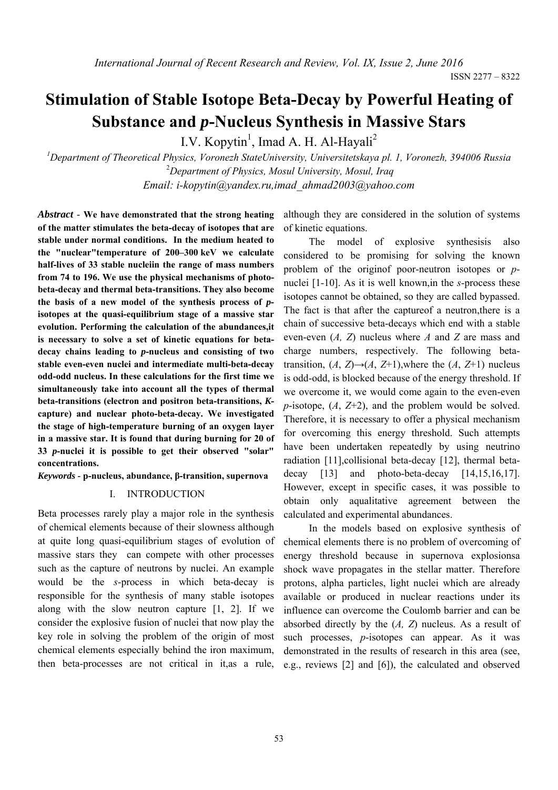# **Stimulation of Stable Isotope Beta-Decay by Powerful Heating of Substance and** *p***-Nucleus Synthesis in Massive Stars**

I.V. Kopytin<sup>1</sup>, Imad A. H. Al-Hayali<sup>2</sup>

*1 Department of Theoretical Physics, Voronezh StateUniversity, Universitetskaya pl. 1, Voronezh, 394006 Russia*  2 *Department of Physics, Mosul University, Mosul, Iraq Email: i-kopytin@yandex.ru,imad\_ahmad2003@yahoo.com* 

*Abstract* - **We have demonstrated that the strong heating of the matter stimulates the beta-decay of isotopes that are stable under normal conditions. In the medium heated to the "nuclear"temperature of 200–300 keV we calculate half-lives of 33 stable nucleiin the range of mass numbers from 74 to 196. We use the physical mechanisms of photobeta-decay and thermal beta-transitions. They also become the basis of a new model of the synthesis process of** *p***isotopes at the quasi-equilibrium stage of a massive star evolution. Performing the calculation of the abundances,it is necessary to solve a set of kinetic equations for betadecay chains leading to** *p***-nucleus and consisting of two stable even-even nuclei and intermediate multi-beta-decay odd-odd nucleus. In these calculations for the first time we simultaneously take into account all the types of thermal beta-transitions (electron and positron beta-transitions,** *K***capture) and nuclear photo-beta-decay. We investigated the stage of high-temperature burning of an oxygen layer in a massive star. It is found that during burning for 20 of 33** *p***-nuclei it is possible to get their observed "solar" concentrations.**

*Keywords -* **p-nucleus, abundance, β-transition, supernova** 

## I. INTRODUCTION

Beta processes rarely play a major role in the synthesis of chemical elements because of their slowness although at quite long quasi-equilibrium stages of evolution of massive stars they can compete with other processes such as the capture of neutrons by nuclei. An example would be the *s*-process in which beta-decay is responsible for the synthesis of many stable isotopes along with the slow neutron capture [1, 2]. If we consider the explosive fusion of nuclei that now play the key role in solving the problem of the origin of most chemical elements especially behind the iron maximum, then beta-processes are not critical in it,as a rule, although they are considered in the solution of systems of kinetic equations.

The model of explosive synthesisis also considered to be promising for solving the known problem of the originof poor-neutron isotopes or *p*nuclei [1-10]. As it is well known,in the *s*-process these isotopes cannot be obtained, so they are called bypassed. The fact is that after the captureof a neutron,there is a chain of successive beta-decays which end with a stable even-even (*A, Z*) nucleus where *A* and *Z* are mass and charge numbers, respectively. The following betatransition,  $(A, Z) \rightarrow (A, Z+1)$ , where the  $(A, Z+1)$  nucleus is odd-odd, is blocked because of the energy threshold. If we overcome it, we would come again to the even-even *p*-isotope, (*A*, *Z*+2), and the problem would be solved. Therefore, it is necessary to offer a physical mechanism for overcoming this energy threshold. Such attempts have been undertaken repeatedly by using neutrino radiation [11],collisional beta-decay [12], thermal betadecay [13] and photo-beta-decay [14,15,16,17]. However, except in specific cases, it was possible to obtain only aqualitative agreement between the calculated and experimental abundances.

In the models based on explosive synthesis of chemical elements there is no problem of overcoming of energy threshold because in supernova explosionsa shock wave propagates in the stellar matter. Therefore protons, alpha particles, light nuclei which are already available or produced in nuclear reactions under its influence can overcome the Coulomb barrier and can be absorbed directly by the (*A, Z*) nucleus. As a result of such processes, *p*-isotopes can appear. As it was demonstrated in the results of research in this area (see, e.g., reviews [2] and [6]), the calculated and observed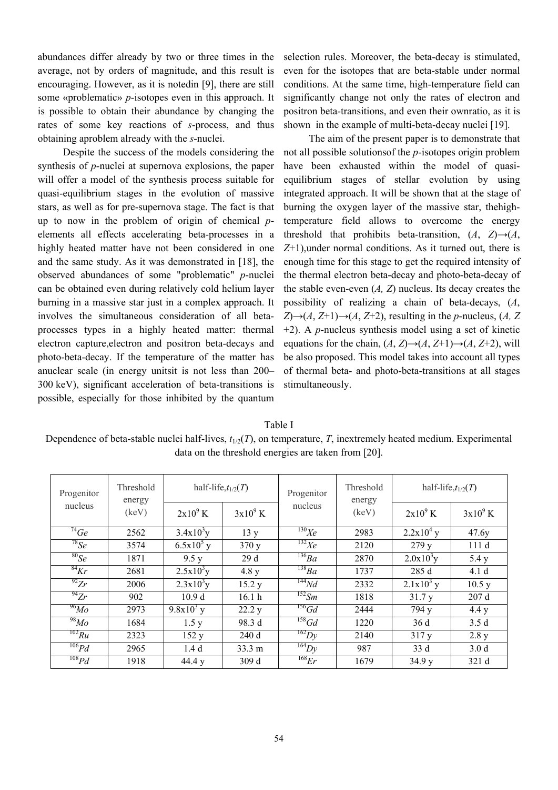abundances differ already by two or three times in the average, not by orders of magnitude, and this result is encouraging. However, as it is notedin [9], there are still some «problematic» *p*-isotopes even in this approach. It is possible to obtain their abundance by changing the rates of some key reactions of *s*-process, and thus obtaining aproblem already with the *s*-nuclei.

Despite the success of the models considering the synthesis of *p*-nuclei at supernova explosions, the paper will offer a model of the synthesis process suitable for quasi-equilibrium stages in the evolution of massive stars, as well as for pre-supernova stage. The fact is that up to now in the problem of origin of chemical *p*elements all effects accelerating beta-processes in a highly heated matter have not been considered in one and the same study. As it was demonstrated in [18], the observed abundances of some "problematic" *p*-nuclei can be obtained even during relatively cold helium layer burning in a massive star just in a complex approach. It involves the simultaneous consideration of all betaprocesses types in a highly heated matter: thermal electron capture,electron and positron beta-decays and photo-beta-decay. If the temperature of the matter has anuclear scale (in energy unitsit is not less than 200– 300 keV), significant acceleration of beta-transitions is possible, especially for those inhibited by the quantum selection rules. Moreover, the beta-decay is stimulated, even for the isotopes that are beta-stable under normal conditions. At the same time, high-temperature field can significantly change not only the rates of electron and positron beta-transitions, and even their ownratio, as it is shown in the example of multi-beta-decay nuclei [19].

The aim of the present paper is to demonstrate that not all possible solutionsof the *p*-isotopes origin problem have been exhausted within the model of quasiequilibrium stages of stellar evolution by using integrated approach. It will be shown that at the stage of burning the oxygen layer of the massive star, thehightemperature field allows to overcome the energy threshold that prohibits beta-transition,  $(A, Z) \rightarrow (A, Z)$ *Z*+1),under normal conditions. As it turned out, there is enough time for this stage to get the required intensity of the thermal electron beta-decay and photo-beta-decay of the stable even-even (*A, Z*) nucleus. Its decay creates the possibility of realizing a chain of beta-decays, (*A*, *Z*)→(*A*, *Z*+1)→(*A*, *Z*+2), resulting in the *p*-nucleus, (*A*, *Z* +2). A *p*-nucleus synthesis model using a set of kinetic equations for the chain,  $(A, Z) \rightarrow (A, Z+1) \rightarrow (A, Z+2)$ , will be also proposed. This model takes into account all types of thermal beta- and photo-beta-transitions at all stages stimultaneously.

## Table I

Dependence of beta-stable nuclei half-lives,  $t_{1/2}(T)$ , on temperature, *T*, inextremely heated medium. Experimental data on the threshold energies are taken from [20].

| Progenitor<br>nucleus | Threshold<br>energy<br>(keV) | half-life, $t_{1/2}(T)$ |                   | Progenitor       | Threshold<br>energy | half-life, $t_{1/2}(T)$ |                  |
|-----------------------|------------------------------|-------------------------|-------------------|------------------|---------------------|-------------------------|------------------|
|                       |                              | $2x10^9$ K              | $3x10^9$ K        | nucleus          | (keV)               | $2x10^9$ K              | $3x10^9$ K       |
| $^{74}Ge$             | 2562                         | $3.4x10^{3}y$           | 13y               | $^{130}Xe$       | 2983                | $2.2x104$ y             | 47.6y            |
| $^{78}Se$             | 3574                         | $\overline{6.5}x10^5$ y | 370y              | $^{132}Xe$       | 2120                | 279 y                   | 111d             |
| $^{80}Se$             | 1871                         | 9.5 y                   | 29d               | $^{136}Ba$       | 2870                | $2.0x10^{3}y$           | 5.4 y            |
| $^{84}Kr$             | 2681                         | $2.5x10^{3}y$           | 4.8 y             | $^{138}Ba$       | 1737                | 285 d                   | 4.1 <sub>d</sub> |
| $^{92}Zr$             | 2006                         | $2.3x10^{3}y$           | 15.2 y            | $^{144}Nd$       | 2332                | $2.1x103$ y             | 10.5 y           |
| $^{94}Zr$             | 902                          | 10.9 <sub>d</sub>       | 16.1 <sub>h</sub> | $^{152}Sm$       | 1818                | 31.7y                   | 207 d            |
| $^{96}Mo$             | 2973                         | $9.8x10^3$ y            | 22.2 y            | $156$ Gd         | 2444                | 794 y                   | 4.4 y            |
| $^{98}Mo$             | 1684                         | 1.5 y                   | 98.3 d            | $158$ Gd         | 1220                | 36d                     | 3.5d             |
| $^{102}Ru$            | 2323                         | 152y                    | 240d              | $\sqrt[162]{D}y$ | 2140                | 317y                    | 2.8 y            |
| 106Pd                 | 2965                         | 1.4 <sub>d</sub>        | 33.3 m            | $\sqrt[164]{D}$  | 987                 | 33d                     | 3.0 <sub>d</sub> |
| 108Pd                 | 1918                         | 44.4 y                  | 309 d             | $^{168}Er$       | 1679                | 34.9y                   | 321 d            |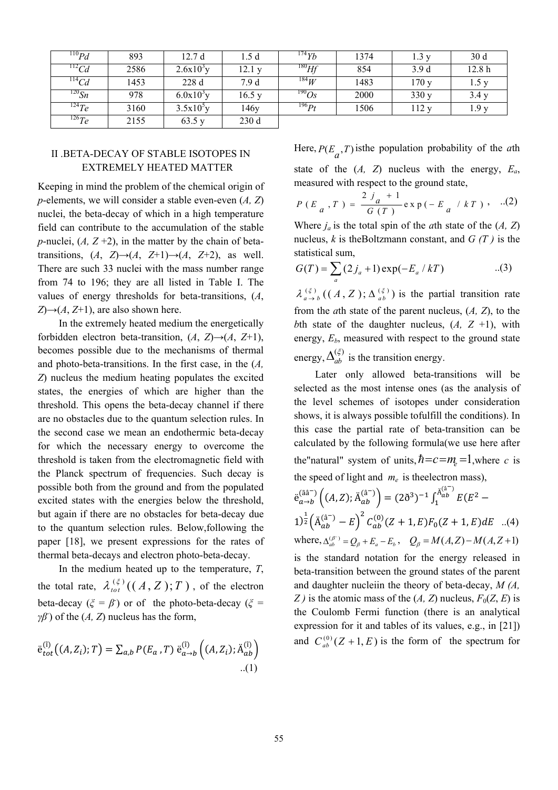| $^{110}Pd$     | 893  | 12.7 d                | .5 d   | $^{174}Yb$  | 1374 | 1.3 y | 30 <sub>d</sub>   |
|----------------|------|-----------------------|--------|-------------|------|-------|-------------------|
| $\frac{12}{C}$ | 2586 | $2.6x10^{3}y$         | 12.1 y | $^{180}$ Hf | 854  | 3.9d  | 12.8 <sub>h</sub> |
| $^{114}Cd$     | 1453 | 228d                  | 7.9 d  | $^{184}W$   | 1483 | 170y  | 1.5y              |
| $^{120}Sn$     | 978  | $6.0x10^{3}y$         | 16.5 y | $^{190}Os$  | 2000 | 330y  | 3.4y              |
| $^{124}Te$     | 3160 | 3.5x10 <sup>5</sup> y | 146y   | $^{196} Pt$ | 1506 | 112y  | 1.9y              |
| $^{126}Te$     | 2155 | 63.5 y                | 230d   |             |      |       |                   |

# II .BETA-DECAY OF STABLE ISOTOPES IN EXTREMELY HEATED MATTER

Keeping in mind the problem of the chemical origin of *p*-elements, we will consider a stable even-even (*A, Z*) nuclei, the beta-decay of which in a high temperature field can contribute to the accumulation of the stable *p*-nuclei,  $(A, Z+2)$ , in the matter by the chain of betatransitions,  $(A, Z) \rightarrow (A, Z+1) \rightarrow (A, Z+2)$ , as well. There are such 33 nuclei with the mass number range from 74 to 196; they are all listed in Table I. The values of energy thresholds for beta-transitions, (*A*,  $Z \rightarrow (A, Z+1)$ , are also shown here.

In the extremely heated medium the energetically forbidden electron beta-transition,  $(A, Z) \rightarrow (A, Z+1)$ , becomes possible due to the mechanisms of thermal and photo-beta-transitions. In the first case, in the (*A, Z*) nucleus the medium heating populates the excited states, the energies of which are higher than the threshold. This opens the beta-decay channel if there are no obstacles due to the quantum selection rules. In the second case we mean an endothermic beta-decay for which the necessary energy to overcome the threshold is taken from the electromagnetic field with the Planck spectrum of frequencies. Such decay is possible both from the ground and from the populated excited states with the energies below the threshold, but again if there are no obstacles for beta-decay due to the quantum selection rules. Below,following the paper [18], we present expressions for the rates of thermal beta-decays and electron photo-beta-decay.

In the medium heated up to the temperature, *T*, the total rate,  $\lambda_{tot}^{(\xi)}((A, Z); T)$ , of the electron beta-decay ( $\xi = \beta$ ) or of the photo-beta-decay ( $\xi = \gamma$ *γβ*) of the (*A*, *Z*) nucleus has the form,

$$
\ddot{e}_{tot}^{(i)}\big((A, Z_i); T\big) = \sum_{a,b} P(E_a, T) \ddot{e}_{a \to b}^{(i)}\big((A, Z_i); \ddot{A}_{ab}^{(i)}\big) \tag{1}
$$

Here,  $P(E_a, T)$  is the population probability of the *a*th state of the  $(A, Z)$  nucleus with the energy,  $E_a$ , measured with respect to the ground state,

$$
P(E_a, T) = \frac{2j_a + 1}{G(T)} \exp(-E_a / kT), ...(2)
$$

Where  $j_a$  is the total spin of the *a*th state of the  $(A, Z)$ nucleus, *k* is theBoltzmann constant, and *G (T )* is the statistical sum,

$$
G(T) = \sum_{a} (2j_a + 1) \exp(-E_a / kT) \tag{3}
$$

 $\lambda_{a\rightarrow b}^{(\xi)}$  ((A, Z);  $\Delta_{ab}^{(\xi)}$ ) is the partial transition rate from the *a*th state of the parent nucleus, (*A, Z*), to the *b*th state of the daughter nucleus,  $(A, Z +1)$ , with energy,  $E<sub>b</sub>$ , measured with respect to the ground state energy,  $\Delta_{ab}^{(\xi)}$  $\Delta_{ab}^{(\xi)}$  is the transition energy.

Later only allowed beta-transitions will be selected as the most intense ones (as the analysis of the level schemes of isotopes under consideration shows, it is always possible tofulfill the conditions). In this case the partial rate of beta-transition can be calculated by the following formula(we use here after the "natural" system of units,  $\hbar = c = m_e = 1$ , where *c* is the speed of light and  $m_e$  is the electron mass),

$$
\ddot{e}_{a \to b}^{(\tilde{a}\tilde{a}^{-})} ((A, Z); \ddot{A}_{ab}^{(\tilde{a}^{-})}) = (2\tilde{\sigma}^{3})^{-1} \int_{1}^{\tilde{A}_{ab}^{(\tilde{a}^{-})}} E(E^{2} - 1)^{\frac{1}{2}} (\ddot{A}_{ab}^{(\tilde{a}^{-})} - E)^{2} C_{ab}^{(0)} (Z + 1, E) F_{0} (Z + 1, E) dE \quad ...(4)
$$
\nwhere,  $\Delta_{ab}^{(\beta^{-})} = Q_{\beta} + E_{a} - E_{b}$ ,  $Q_{\beta} = M(A, Z) - M(A, Z + 1)$  is the standard notation for the energy released in

is the standard notation for the energy released in beta-transition between the ground states of the parent and daughter nucleiin the theory of beta-decay, *M (A, Z*) is the atomic mass of the  $(A, Z)$  nucleus,  $F_0(Z, E)$  is the Coulomb Fermi function (there is an analytical expression for it and tables of its values, e.g., in [21]) and  $C_{ab}^{(0)}(Z+1, E)$  is the form of the spectrum for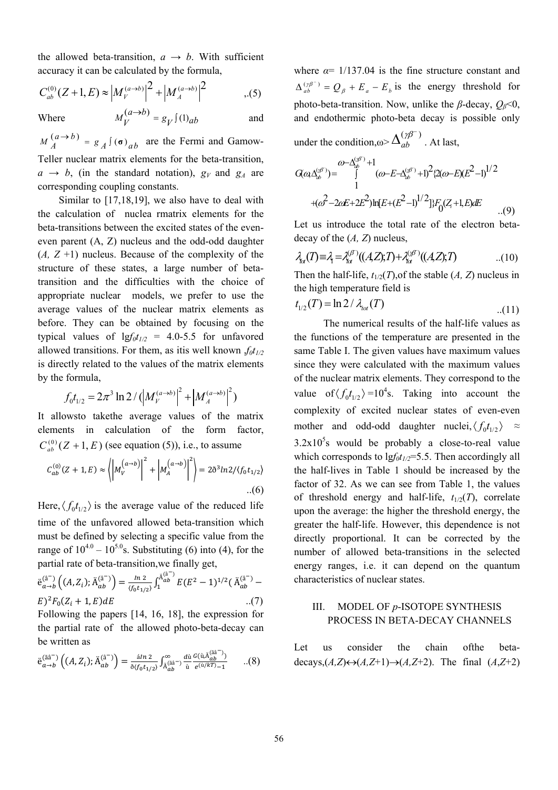the allowed beta-transition,  $a \rightarrow b$ . With sufficient accuracy it can be calculated by the formula,

$$
C_{ab}^{(0)}(Z+1,E) \approx \left|M_{V}^{(a\to b)}\right|^{2} + \left|M_{A}^{(a\to b)}\right|^{2} \tag{5}
$$

Where  $M_V^{(a \to b)} = g_V^{\int (1)_{ab}}$  and

 $M_A^{(a \to b)} = g_A^{\{a\}}(\sigma)_{ab}$  are the Fermi and Gamow-Teller nuclear matrix elements for the beta-transition,  $a \rightarrow b$ , (in the standard notation),  $g_V$  and  $g_A$  are corresponding coupling constants.

Similar to [17,18,19], we also have to deal with the calculation of nuclea rmatrix elements for the beta-transitions between the excited states of the eveneven parent (A, Z) nucleus and the odd-odd daughter (*A, Z* +1) nucleus. Because of the complexity of the structure of these states, a large number of betatransition and the difficulties with the choice of appropriate nuclear models, we prefer to use the average values of the nuclear matrix elements as before. They can be obtained by focusing on the typical values of  $lgf_0t_{1/2}$  = 4.0-5.5 for unfavored allowed transitions. For them, as itis well known  $f_0t_{1/2}$ is directly related to the values of the matrix elements by the formula,

$$
f_0 t_{1/2} = 2\pi^3 \ln 2 / \left( \left| M_V^{(a\to b)} \right|^2 + \left| M_A^{(a\to b)} \right|^2 \right)
$$

It allowsto takethe average values of the matrix elements in calculation of the form factor,  $C_{ab}^{(0)}(Z+1, E)$  (see equation (5)), i.e., to assume

$$
C_{ab}^{(0)}(Z+1,E) \approx \left| \left| M_{V}^{(a\to b)} \right|^{2} + \left| M_{A}^{(a\to b)} \right|^{2} \right| = 2\delta^{3} ln 2 / \langle f_{0} t_{1/2} \rangle
$$
  
...(6)

Here,  $\langle f_0 t_{1/2} \rangle$  is the average value of the reduced life time of the unfavored allowed beta-transition which must be defined by selecting a specific value from the range of  $10^{4.0} - 10^{5.0}$ s. Substituting (6) into (4), for the partial rate of beta-transition,we finally get,

$$
\ddot{e}_{a \to b}^{(\hat{a}^{-})} ((A, Z_i); \ddot{A}_{ab}^{(\hat{a}^{-})}) = \frac{\ln 2}{\langle f_0 t_{1/2} \rangle} \int_1^{\ddot{A}_{ab}^{(\hat{a}^{-})}} E(E^2 - 1)^{1/2} (\ddot{A}_{ab}^{(\hat{a}^{-})} - E)^2 F_0 (Z_i + 1, E) dE
$$
\n...(7)

Following the papers [14, 16, 18], the expression for the partial rate of the allowed photo-beta-decay can be written as

$$
\ddot{\mathbf{e}}_{a \to b}^{(\tilde{a}\hat{a}^{-})} ((A, Z_i); \ddot{A}_{ab}^{(\hat{a}^{-})}) = \frac{\dot{a}^{In \, 2}}{\delta(f_0 t_{1/2})} \int_{\ddot{A}_{ab}^{(\tilde{a}\hat{a}^{-})}}^{\infty} \frac{d\dot{u}}{\dot{u}} \frac{G(\dot{u}, \ddot{A}_{ab}^{(\tilde{a}\hat{a}^{-})})}{e^{(\dot{u}/kT)} - 1} \qquad \dots (8)
$$

where  $\alpha$ = 1/137.04 is the fine structure constant and  $\binom{(\gamma \beta^{-})}{ab} = Q_{\beta} + E_{a} - E_{b}$  $\Delta_{ab}^{(\gamma\beta^-)} = Q_{\beta} + E_{a} - E_{b}$  is the energy threshold for photo-beta-transition. Now, unlike the  $\beta$ -decay,  $Q_{\beta}$ <0, and endothermic photo-beta decay is possible only

under the condition, $\omega > \Delta_{ab}^{(\gamma \beta^{-})}$ *ab*  $\Delta_{ab}^{(\gamma\beta^-)}$ . At last,

$$
G(\omega \Delta_{ab}^{(\gamma F)}) = \int_{1}^{\omega - \Delta_{ab}^{(\gamma F)} + 1} (\omega - E - \Delta_{ab}^{(\gamma F)} + 1)^{2} \{2(\omega - E)(E^{2} - 1)^{1/2} \}
$$

$$
+ (\omega^{2} - 2\omega E + 2E^{2})\ln[E + (E^{2} - 1)^{1/2}]\}F_{0}(Z_{i} + 1, E)dE
$$
...(9)

Let us introduce the total rate of the electron betadecay of the (*A, Z*) nucleus,

$$
\lambda_{\alpha}(T) \equiv \lambda_{\mathsf{t}} = \lambda_{\alpha}^{(\beta)}((A,Z),T) + \lambda_{\alpha}^{(\beta)}((A,Z),T) \tag{10}
$$

Then the half-life,  $t_{1/2}(T)$ , of the stable  $(A, Z)$  nucleus in the high temperature field is

$$
t_{1/2}(T) = \ln 2 / \lambda_{tot}(T)
$$
 (11)

The numerical results of the half-life values as the functions of the temperature are presented in the same Table I. The given values have maximum values since they were calculated with the maximum values of the nuclear matrix elements. They correspond to the value of  $\langle f_0 t_{1/2} \rangle = 10^4$ s. Taking into account the complexity of excited nuclear states of even-even mother and odd-odd daughter nuclei,  $\langle f_0 t_{1/2} \rangle \approx$  $3.2x10<sup>5</sup>$  would be probably a close-to-real value which corresponds to  $lgf_0t_{1/2} = 5.5$ . Then accordingly all the half-lives in Table 1 should be increased by the factor of 32. As we can see from Table 1, the values of threshold energy and half-life,  $t_{1/2}(T)$ , correlate upon the average: the higher the threshold energy, the greater the half-life. However, this dependence is not directly proportional. It can be corrected by the number of allowed beta-transitions in the selected energy ranges, i.e. it can depend on the quantum characteristics of nuclear states.

# III. MODEL OF *p*-ISOTOPE SYNTHESIS PROCESS IN BETA-DECAY CHANNELS

Let us consider the chain ofthe betadecays, $(A,Z) \leftrightarrow (A,Z+1) \rightarrow (A,Z+2)$ . The final  $(A,Z+2)$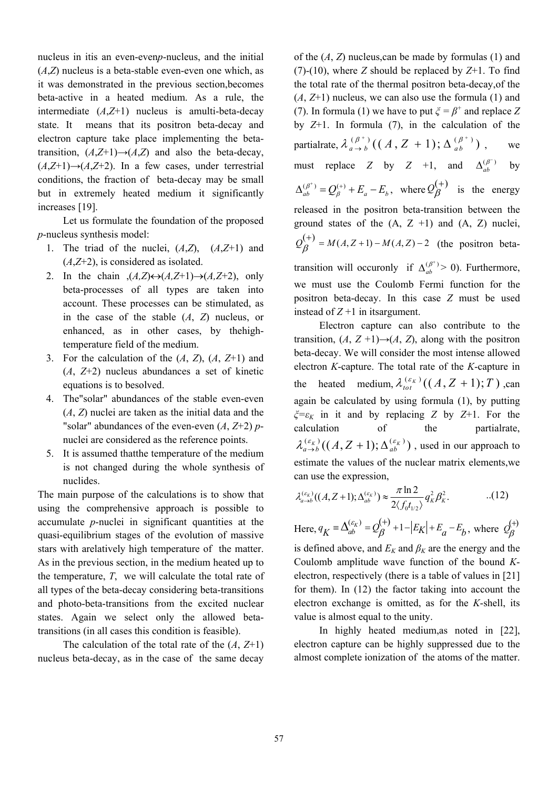nucleus in itis an even-even*p*-nucleus, and the initial (*A*,*Z*) nucleus is a beta-stable even-even one which, as it was demonstrated in the previous section,becomes beta-active in a heated medium. As a rule, the intermediate (*A*,*Z*+1) nucleus is amulti-beta-decay state. It means that its positron beta-decay and electron capture take place implementing the betatransition,  $(A,\mathbb{Z}+1) \rightarrow (A,\mathbb{Z})$  and also the beta-decay,  $(A,Z+1)$ → $(A,Z+2)$ . In a few cases, under terrestrial conditions, the fraction of beta-decay may be small but in extremely heated medium it significantly increases [19].

Let us formulate the foundation of the proposed *p*-nucleus synthesis model:

- 1. The triad of the nuclei,  $(A,\mathbb{Z})$ ,  $(A,\mathbb{Z}+1)$  and (*A*,*Z*+2), is considered as isolated.
- 2. In the chain  $(A,Z) \leftrightarrow (A,Z+1) \rightarrow (A,Z+2)$ , only beta-processes of all types are taken into account. These processes can be stimulated, as in the case of the stable (*A*, *Z*) nucleus, or enhanced, as in other cases, by thehightemperature field of the medium.
- 3. For the calculation of the  $(A, Z)$ ,  $(A, Z+1)$  and (*A*, *Z*+2) nucleus abundances a set of kinetic equations is to besolved.
- 4. The"solar" abundances of the stable even-even (*A*, *Z*) nuclei are taken as the initial data and the "solar" abundances of the even-even (*A*, *Z*+2) *p*nuclei are considered as the reference points.
- 5. It is assumed thatthe temperature of the medium is not changed during the whole synthesis of nuclides.

The main purpose of the calculations is to show that using the comprehensive approach is possible to accumulate *p*-nuclei in significant quantities at the quasi-equilibrium stages of the evolution of massive stars with arelatively high temperature of the matter. As in the previous section, in the medium heated up to the temperature, *T*, we will calculate the total rate of all types of the beta-decay considering beta-transitions and photo-beta-transitions from the excited nuclear states. Again we select only the allowed betatransitions (in all cases this condition is feasible).

The calculation of the total rate of the (*A*, *Z*+1) nucleus beta-decay, as in the case of the same decay of the (*A*, *Z*) nucleus,can be made by formulas (1) and (7)-(10), where *Z* should be replaced by *Z*+1. To find the total rate of the thermal positron beta-decay,of the (*A*, *Z*+1) nucleus, we can also use the formula (1) and (7). In formula (1) we have to put  $\zeta = \beta^+$  and replace Z by *Z*+1. In formula (7), in the calculation of the partialrate,  $\lambda_{a \to b}^{(\beta^+)}((A, Z + 1); \Delta_{ab}^{(\beta^+)})$ , we must replace *Z* by *Z* +1, and  $\Delta_{ab}^{(\beta^-)}$  $\Delta_{ab}^{(\beta^-)}$  by  $\Delta_{ab}^{(\beta^+)} = Q_\beta^{(+)} + E_a - E_b$ , where  $Q_\beta^{(+)}$  is the energy released in the positron beta-transition between the ground states of the  $(A, Z +1)$  and  $(A, Z)$  nuclei,  $Q_{\beta}^{(+)} = M(A, Z+1) - M(A, Z) - 2$  (the positron betatransition will occuronly if  $\Delta_{ab}^{(\beta^+)}$  $\Delta_{ab}^{(\beta^+)} > 0$ ). Furthermore, we must use the Coulomb Fermi function for the positron beta-decay. In this case *Z* must be used instead of  $Z + 1$  in its argument.

Electron capture can also contribute to the transition,  $(A, Z+1) \rightarrow (A, Z)$ , along with the positron beta-decay. We will consider the most intense allowed electron *K*-capture. The total rate of the *K*-capture in the heated medium,  $\lambda_{tot}^{(\varepsilon_K)}((A, Z + 1); T)$ ,can again be calculated by using formula (1), by putting *ξ=εK* in it and by replacing *Z* by *Z*+1. For the calculation of the partialrate,  $\lambda_{a\to b}^{(\varepsilon_K)}((A, Z+1); \Delta_{ab}^{(\varepsilon_K)})$ , used in our approach to estimate the values of the nuclear matrix elements,we can use the expression,

$$
\lambda_{a \to b}^{(\varepsilon_K)}((A, Z+1); \Delta_{ab}^{(\varepsilon_K)}) \approx \frac{\pi \ln 2}{2 \langle f_0 t_{1/2} \rangle} q_K^2 \beta_K^2.
$$
 (12)

Here, 
$$
q_K = \Delta_{ab}^{(\varepsilon_K)} = Q_{\beta}^{(+)} + 1 - |E_K| + E_a - E_b
$$
, where  $Q_{\beta}^{(+)}$ 

is defined above, and  $E_K$  and  $\beta_K$  are the energy and the Coulomb amplitude wave function of the bound *K*electron, respectively (there is a table of values in [21] for them). In (12) the factor taking into account the electron exchange is omitted, as for the *K*-shell, its value is almost equal to the unity.

In highly heated medium,as noted in [22], electron capture can be highly suppressed due to the almost complete ionization of the atoms of the matter.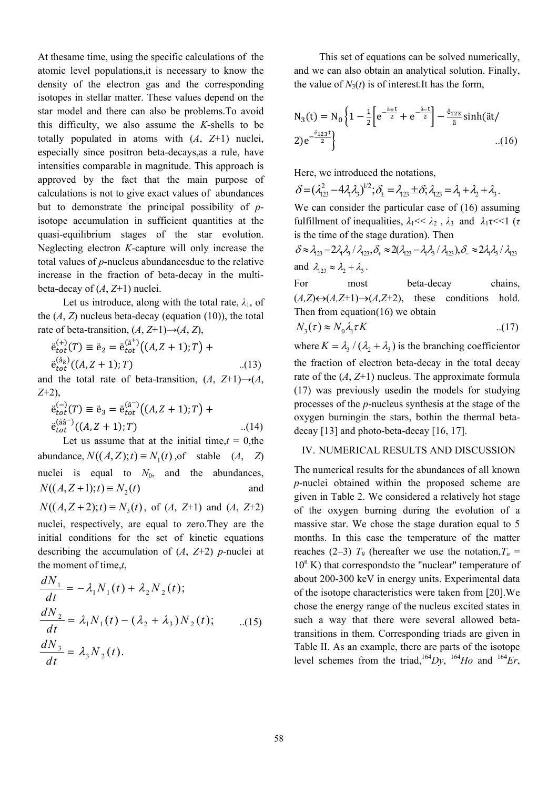At thesame time, using the specific calculations of the atomic level populations,it is necessary to know the density of the electron gas and the corresponding isotopes in stellar matter. These values depend on the star model and there can also be problems.To avoid this difficulty, we also assume the *K*-shells to be totally populated in atoms with (*A*, *Z*+1) nuclei, especially since positron beta-decays,as a rule, have intensities comparable in magnitude. This approach is approved by the fact that the main purpose of calculations is not to give exact values of abundances but to demonstrate the principal possibility of *p*isotope accumulation in sufficient quantities at the quasi-equilibrium stages of the star evolution. Neglecting electron *K*-capture will only increase the total values of *p*-nucleus abundancesdue to the relative increase in the fraction of beta-decay in the multibeta-decay of (*A*, *Z*+1) nuclei.

Let us introduce, along with the total rate,  $\lambda_1$ , of the  $(A, Z)$  nucleus beta-decay (equation  $(10)$ ), the total rate of beta-transition,  $(A, Z+1) \rightarrow (A, Z)$ ,

$$
\ddot{e}_{tot}^{(+)}(T) \equiv \ddot{e}_2 = \ddot{e}_{tot}^{(a^+)}((A, Z + 1); T) + \n\ddot{e}_{tot}^{(\ddot{a}_k)}((A, Z + 1); T) \qquad ...(13)
$$

and the total rate of beta-transition,  $(A, Z+1) \rightarrow (A, Z+1)$ *Z*+2),

$$
\ddot{e}_{tot}^{(-)}(T) \equiv \ddot{e}_3 = \ddot{e}_{tot}^{(\hat{a}^-)}((A, Z + 1); T) +
$$
  
\n
$$
\ddot{e}_{tot}^{(\hat{a}\hat{a}^-)}((A, Z + 1); T) \qquad ...(14)
$$
  
\nLet us assume that at the initial time,  $t = 0$ , the

abundance,  $N((A, Z); t) \equiv N_1(t)$ , of stable  $(A, Z)$ nuclei is equal to  $N_0$ , and the abundances,  $N((A, Z + 1); t) \equiv N<sub>2</sub>(t)$  and

 $N((A, Z + 2); t) \equiv N_3(t)$ , of  $(A, Z+1)$  and  $(A, Z+2)$ nuclei, respectively, are equal to zero.They are the initial conditions for the set of kinetic equations describing the accumulation of  $(A, Z+2)$  *p*-nuclei at the moment of time,*t*,

$$
\frac{dN_1}{dt} = -\lambda_1 N_1(t) + \lambda_2 N_2(t);
$$
  
\n
$$
\frac{dN_2}{dt} = \lambda_1 N_1(t) - (\lambda_2 + \lambda_3) N_2(t); \qquad ...(15)
$$
  
\n
$$
\frac{dN_3}{dt} = \lambda_3 N_2(t).
$$

This set of equations can be solved numerically, and we can also obtain an analytical solution. Finally, the value of  $N_3(t)$  is of interest. It has the form,

$$
N_3(t) = N_0 \left\{ 1 - \frac{1}{2} \left[ e^{-\frac{a}{2}t} + e^{-\frac{a}{2}t} \right] - \frac{\varepsilon_{123}}{a} \sinh(\tilde{a}t) \right\}
$$
  
2) $e^{-\frac{\varepsilon_{123}t}{2}}$ ...(16)

Here, we introduced the notations,

 $\delta = (\lambda_{123}^2 - 4\lambda_1\lambda_3)^{1/2}; \delta_{\pm} = \lambda_{123} \pm \delta; \lambda_{123} = \lambda_1 + \lambda_2 + \lambda_3.$ 

We can consider the particular case of (16) assuming fulfillment of inequalities,  $\lambda_1 \ll \lambda_2$ ,  $\lambda_3$  and  $\lambda_1 \ll 1$  (*τ* is the time of the stage duration). Then

 $\delta \approx \lambda_{123} - 2\lambda_1\lambda_1\,/\,\lambda_{123}, \delta_+ \approx 2(\lambda_{123} - \lambda_1\lambda_3\,/\,\lambda_{123}), \delta_- \approx 2\lambda_1\lambda_3\,/\,\lambda_{123}$ and  $\lambda_{123} \approx \lambda_2 + \lambda_3$ .

For most beta-decay chains,  $(A,Z) \leftrightarrow (A,Z+1) \rightarrow (A,Z+2)$ , these conditions hold. Then from equation(16) we obtain

$$
N_3(\tau) \approx N_0 \lambda_1 \tau K \tag{17}
$$

where  $K = \lambda_1 / (\lambda_1 + \lambda_2)$  is the branching coefficientor the fraction of electron beta-decay in the total decay rate of the (*A*, *Z*+1) nucleus. The approximate formula (17) was previously usedin the models for studying processes of the *p*-nucleus synthesis at the stage of the oxygen burningin the stars, bothin the thermal betadecay [13] and photo-beta-decay [16, 17].

# IV. NUMERICAL RESULTS AND DISCUSSION

The numerical results for the abundances of all known *p*-nuclei obtained within the proposed scheme are given in Table 2. We considered a relatively hot stage of the oxygen burning during the evolution of a massive star. We chose the stage duration equal to 5 months. In this case the temperature of the matter reaches (2–3)  $T_g$  (hereafter we use the notation, $T_n$  = 10<sup>n</sup> K) that correspondsto the "nuclear" temperature of about 200-300 keV in energy units. Experimental data of the isotope characteristics were taken from [20].We chose the energy range of the nucleus excited states in such a way that there were several allowed betatransitions in them. Corresponding triads are given in Table II. As an example, there are parts of the isotope level schemes from the triad,<sup>164</sup>*Dy*, <sup>164</sup>*Ho* and <sup>164</sup>*Er*,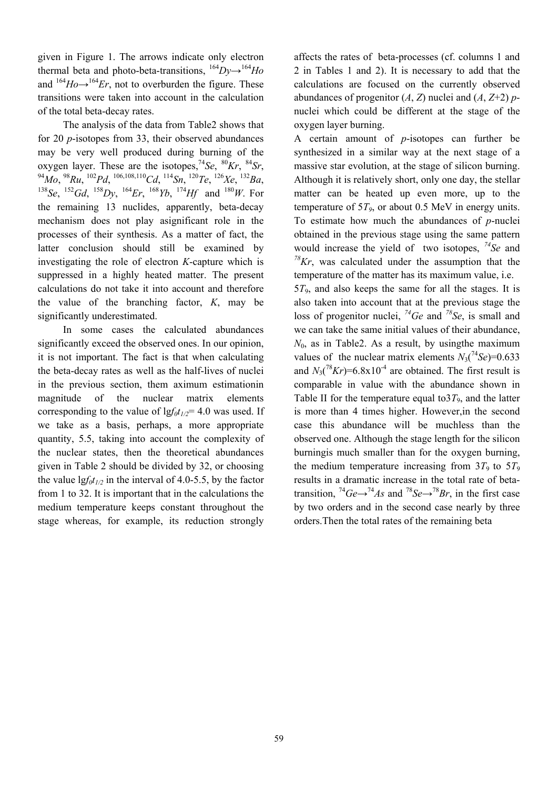given in Figure 1. The arrows indicate only electron thermal beta and photo-beta-transitions,  $^{164}Dv \rightarrow ^{164}Ho$ and  $164H_0 \rightarrow 164E_r$ , not to overburden the figure. These transitions were taken into account in the calculation of the total beta-decay rates.

The analysis of the data from Table2 shows that for 20 *p*-isotopes from 33, their observed abundances may be very well produced during burning of the oxygen layer. These are the isotopes,<sup>74</sup>Se, <sup>80</sup>Kr, <sup>84</sup>Sr,<br><sup>94</sup>Mo, <sup>98</sup>Ru, <sup>102</sup>Pd, <sup>106,108,110</sup>Cd, <sup>114</sup>Sn, <sup>120</sup>Te, <sup>126</sup>Xe, <sup>132</sup>Ba,<br><sup>138</sup>Se, <sup>152</sup>Gd, <sup>158</sup>Dy, <sup>164</sup>Er, <sup>168</sup>Yb, <sup>174</sup>Hf and <sup>180</sup>W. For the remaining 13 nuclides, apparently, beta-decay mechanism does not play asignificant role in the processes of their synthesis. As a matter of fact, the latter conclusion should still be examined by investigating the role of electron *K*-capture which is suppressed in a highly heated matter. The present calculations do not take it into account and therefore the value of the branching factor, *K*, may be significantly underestimated.

In some cases the calculated abundances significantly exceed the observed ones. In our opinion, it is not important. The fact is that when calculating the beta-decay rates as well as the half-lives of nuclei in the previous section, them aximum estimationin magnitude of the nuclear matrix elements corresponding to the value of  $\frac{g_f f_0 t_{1/2}}{2}$  4.0 was used. If we take as a basis, perhaps, a more appropriate quantity, 5.5, taking into account the complexity of the nuclear states, then the theoretical abundances given in Table 2 should be divided by 32, or choosing the value  $\frac{g f_0 t_{1/2}}{2}$  in the interval of 4.0-5.5, by the factor from 1 to 32. It is important that in the calculations the medium temperature keeps constant throughout the stage whereas, for example, its reduction strongly

affects the rates of beta-processes (cf. columns 1 and 2 in Tables 1 and 2). It is necessary to add that the calculations are focused on the currently observed abundances of progenitor  $(A, Z)$  nuclei and  $(A, Z+2)$  *p*nuclei which could be different at the stage of the oxygen layer burning.

A certain amount of *p*-isotopes can further be synthesized in a similar way at the next stage of a massive star evolution, at the stage of silicon burning. Although it is relatively short, only one day, the stellar matter can be heated up even more, up to the temperature of  $5T<sub>9</sub>$ , or about 0.5 MeV in energy units. To estimate how much the abundances of *p*-nuclei obtained in the previous stage using the same pattern would increase the yield of two isotopes, *74Se* and *78Kr*, was calculated under the assumption that the temperature of the matter has its maximum value, i.e.

5*T*9, and also keeps the same for all the stages. It is also taken into account that at the previous stage the loss of progenitor nuclei, *74Ge* and *78Se*, is small and we can take the same initial values of their abundance,  $N_0$ , as in Table2. As a result, by using the maximum values of the nuclear matrix elements  $N_3(^{74}Se)=0.633$ and  $N_3(^{78}Kr) = 6.8 \times 10^{-4}$  are obtained. The first result is comparable in value with the abundance shown in Table II for the temperature equal to  $3T<sub>9</sub>$ , and the latter is more than 4 times higher. However,in the second case this abundance will be muchless than the observed one. Although the stage length for the silicon burningis much smaller than for the oxygen burning, the medium temperature increasing from  $3T_9$  to  $5T_9$ results in a dramatic increase in the total rate of betatransition,  ${}^{74}Ge-{}^{74}As$  and  ${}^{78}Se-{}^{78}Br$ , in the first case by two orders and in the second case nearly by three orders.Then the total rates of the remaining beta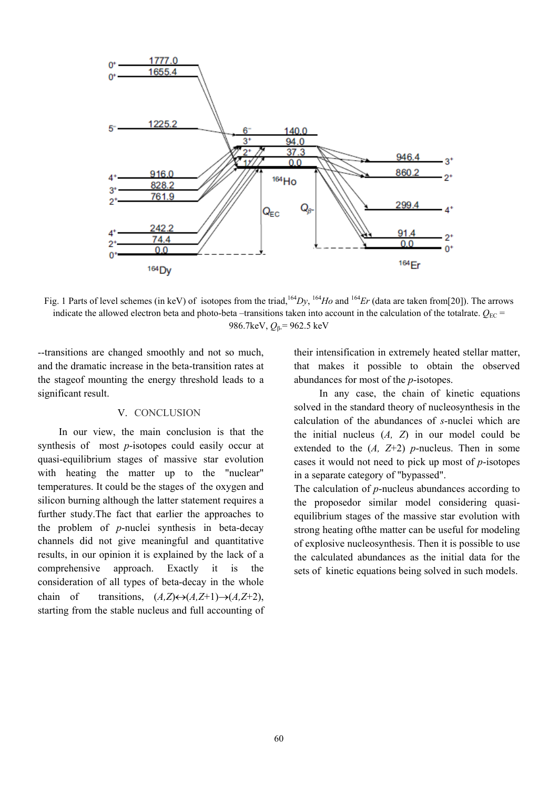

Fig. 1 Parts of level schemes (in keV) of isotopes from the triad,<sup>164</sup>*Dy*, <sup>164</sup>*Ho* and <sup>164</sup>*Er* (data are taken from[20]). The arrows indicate the allowed electron beta and photo-beta –transitions taken into account in the calculation of the totalrate.  $Q_{EC}$  = 986.7keV,  $Q_β = 962.5$  keV

--transitions are changed smoothly and not so much, and the dramatic increase in the beta-transition rates at the stageof mounting the energy threshold leads to a significant result.

#### V. CONCLUSION

In our view, the main conclusion is that the synthesis of most *p*-isotopes could easily occur at quasi-equilibrium stages of massive star evolution with heating the matter up to the "nuclear" temperatures. It could be the stages of the oxygen and silicon burning although the latter statement requires a further study.The fact that earlier the approaches to the problem of *p*-nuclei synthesis in beta-decay channels did not give meaningful and quantitative results, in our opinion it is explained by the lack of a comprehensive approach. Exactly it is the consideration of all types of beta-decay in the whole chain of transitions,  $(A,Z) \leftrightarrow (A,Z+1) \rightarrow (A,Z+2)$ , starting from the stable nucleus and full accounting of their intensification in extremely heated stellar matter, that makes it possible to obtain the observed abundances for most of the *p*-isotopes.

In any case, the chain of kinetic equations solved in the standard theory of nucleosynthesis in the calculation of the abundances of *s*-nuclei which are the initial nucleus (*A, Z*) in our model could be extended to the  $(A, Z+2)$  *p*-nucleus. Then in some cases it would not need to pick up most of *p*-isotopes in a separate category of "bypassed".

The calculation of *p*-nucleus abundances according to the proposedor similar model considering quasiequilibrium stages of the massive star evolution with strong heating ofthe matter can be useful for modeling of explosive nucleosynthesis. Then it is possible to use the calculated abundances as the initial data for the sets of kinetic equations being solved in such models.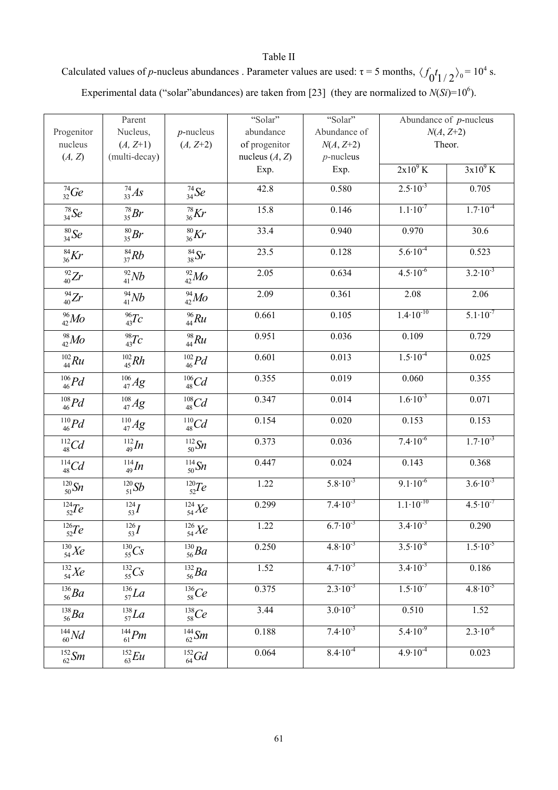Table II Calculated values of *p*-nucleus abundances . Parameter values are used:  $\tau = 5$  months,  $\langle f_0 t_1/2 \rangle_0 = 10^4$  s. Experimental data ("solar"abundances) are taken from [23] (they are normalized to  $N(Si)=10^6$ ).

|                             | Parent                      |                            | "Solar"          | "Solar"             |                      | Abundance of $p$ -nucleus |
|-----------------------------|-----------------------------|----------------------------|------------------|---------------------|----------------------|---------------------------|
| Progenitor                  | Nucleus,                    | $p$ -nucleus               | abundance        | Abundance of        | $N(A, Z+2)$          |                           |
| nucleus                     | $(A, Z+1)$                  | $(A, Z+2)$                 | of progenitor    | $N(A, Z+2)$         | Theor.               |                           |
| (A, Z)                      | (multi-decay)               |                            | nucleus $(A, Z)$ | $p$ -nucleus        |                      |                           |
|                             |                             |                            | Exp.             | Exp.                | $2x10^9$ K           | $3x10^9$ K                |
| $^{74}_{32}Ge$              | $^{74}_{33}As$              | $^{74}_{34}Se$             | 42.8             | 0.580               | $2.5 \cdot 10^{-3}$  | 0.705                     |
| $^{78}_{34}Se$              | $^{78}_{35}Br$              | $^{78}_{36}Kr$             | 15.8             | 0.146               | $1.1 \cdot 10^{-7}$  | $1.7 \cdot 10^{-4}$       |
| $^{80}_{34}Se$              | $^{80}_{35}Br$              | $\frac{80}{36}Kr$          | 33.4             | 0.940               | 0.970                | 30.6                      |
| $^{84}_{36}Kr$              | $^{84}_{37}Rb$              | $\frac{84}{38}$ Sr         | 23.5             | 0.128               | $5.6 \cdot 10^{-4}$  | 0.523                     |
| $^{92}_{40}Zr$              | $^{92}_{41}Nb$              | $^{92}_{42}Mo$             | 2.05             | 0.634               | $4.5 \cdot 10^{-6}$  | $3.2 \cdot 10^{-3}$       |
| $^{94}_{40}Zr$              | $^{94}_{41}Nb$              | $^{94}_{42}Mo$             | 2.09             | 0.361               | 2.08                 | 2.06                      |
| $^{96}_{42}Mo$              | $\frac{96}{43}Tc$           | $\frac{96}{44}Ru$          | 0.661            | 0.105               | $1.4 \cdot 10^{-10}$ | $5.1 \cdot 10^{-7}$       |
| $^{98}_{42}Mo$              | $^{98}_{43}Tc$              | $^{98}_{44} Ru$            | 0.951            | 0.036               | 0.109                | 0.729                     |
| $^{102}_{44}Ru$             | $^{102}_{45}Rh$             | $^{102}_{46}Pd$            | 0.601            | 0.013               | $1.5 \cdot 10^{-4}$  | 0.025                     |
| $\substack{106 \\ 46} Pd$   | $^{106}_{\phantom{1}47} Ag$ | $^{106}_{48}Cd$            | 0.355            | 0.019               | 0.060                | 0.355                     |
| $\substack{108 \\ 46} Pd$   | $^{108}_{47} Ag$            | $\frac{108}{48}Cd$         | 0.347            | 0.014               | $1.6 \cdot 10^{-3}$  | 0.071                     |
| $\substack{^{110} \\ 46}Pd$ | $^{110}_{\ 47} Ag$          | $\frac{^{110}}{^{48}}Cd$   | 0.154            | 0.020               | 0.153                | 0.153                     |
| $^{112}_{48}Cd$             | $^{112}_{49} In$            | $^{112}_{50}Sn$            | 0.373            | 0.036               | $7.4 \cdot 10^{-6}$  | $1.7 \cdot 10^{-3}$       |
| $\frac{^{114}}{^{48}}Cd$    | $^{114}_{49} In$            | $^{114}_{50}Sn$            | 0.447            | 0.024               | 0.143                | 0.368                     |
| $\frac{120}{50}$ Sn         | $^{120}_{51}Sb$             | $^{120}_{52}Te$            | 1.22             | $5.8 \cdot 10^{-3}$ | $9.1 \cdot 10^{-6}$  | $3.6 \cdot 10^{-3}$       |
| $^{124}_{52}Te$             | $^{124}_{53}I$              | $^{124}_{54}Xe$            | 0.299            | $7.4 \cdot 10^{-3}$ | $1.1 \cdot 10^{-10}$ | $4.5 \cdot 10^{-7}$       |
| $^{126}_{\phantom{1}52}Te$  | $^{126}_{\phantom{1}53}I$   | $^{126}_{54}X\!e$          | 1.22             | $6.7 \cdot 10^{-3}$ | $3.4 \cdot 10^{-3}$  | 0.290                     |
| $^{130}_{\ 54}X\!e$         | $^{130}_{55}Cs$             | $^{130}_{56}Ba$            | 0.250            | $4.8 \cdot 10^{-3}$ | $3.5 \cdot 10^{-8}$  | $1.5 \cdot 10^{-5}$       |
| $^{132}_{54}Xe$             | $^{132}_{55}Cs$             | $^{132}_{56}Ba$            | 1.52             | $4.7 \cdot 10^{-3}$ | $3.4 \cdot 10^{-3}$  | 0.186                     |
| $^{136}_{\ 56} Ba$          | $^{136}_{57}La$             | $\substack{136 \\ 58} Ce$  | 0.375            | $2.3 \cdot 10^{-3}$ | $1.5 \cdot 10^{-7}$  | $4.8 \cdot 10^{-5}$       |
| $^{138}_{\phantom{1}56}Ba$  | $^{138}_{57}La$             | $^{138}_{\phantom{1}58}Ce$ | 3.44             | $3.0 \cdot 10^{-3}$ | 0.510                | 1.52                      |
| $^{144}_{\ 60}Nd$           | $^{144}_{61}Pm$             | $^{144}_{62}$ Sm           | 0.188            | $7.4 \cdot 10^{-3}$ | $5.4 \cdot 10^{-9}$  | $2.3 \cdot 10^{-6}$       |
| $^{152}_{\ 62} Sm$          | $^{152}_{63}Eu$             | $^{152}_{\ 64}Gd$          | 0.064            | $8.4 \cdot 10^{-4}$ | $4.9 \cdot 10^{-4}$  | 0.023                     |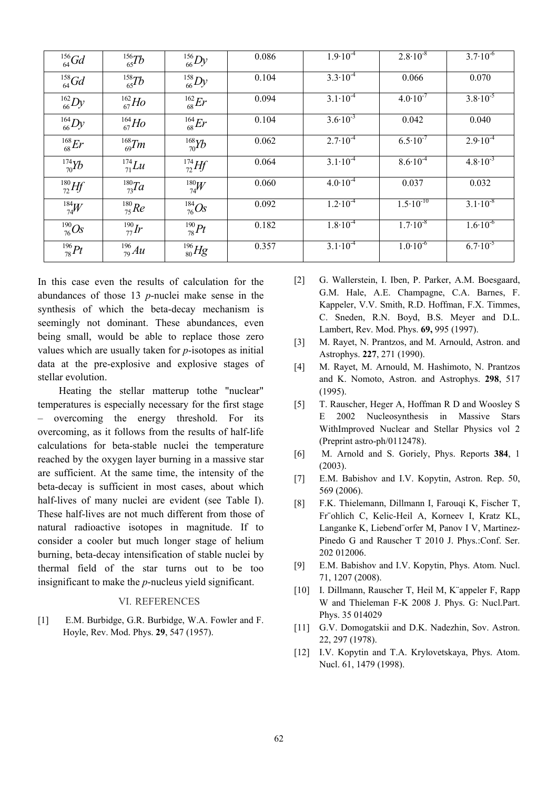| $^{156}_{64}$ Gd | $^{156}_{65}Tb$     | $^{156}_{66}Dy$    | 0.086 | $1.9\cdot\overline{10^{-4}}$ | $2.8 \cdot 10^{-8}$  | $3.7 \cdot 10^{-6}$ |
|------------------|---------------------|--------------------|-------|------------------------------|----------------------|---------------------|
| $^{158}_{64}$ Gd | $^{158}_{65}Tb$     | $^{158}_{66}Dy$    | 0.104 | $3.3 \cdot 10^{-4}$          | 0.066                | 0.070               |
| $^{162}_{66}Dy$  | $^{162}_{67}$ Ho    | $^{162}_{68}Er$    | 0.094 | $3.1 \cdot 10^{-4}$          | $4.0 \cdot 10^{-7}$  | $3.8 \cdot 10^{-5}$ |
| $^{164}_{66}Dy$  | $^{164}_{67}$ Ho    | $^{164}_{68}Er$    | 0.104 | $3.6 \cdot 10^{-3}$          | 0.042                | 0.040               |
| $^{168}_{68}Er$  | $\frac{168}{69}$ Tm | $\frac{168}{70}Yb$ | 0.062 | $2.7 \cdot 10^{-4}$          | $6.5 \cdot 10^{-7}$  | $2.9 \cdot 10^{-4}$ |
| $^{174}_{70}Yb$  | $^{174}_{71}Lu$     | $^{174}_{72}Hf$    | 0.064 | $3.1 \cdot 10^{-4}$          | $8.6 \cdot 10^{-4}$  | $4.8 \cdot 10^{-3}$ |
| $^{180}_{72}Hf$  | $^{180}$ Ta         | $^{180}_{74}W$     | 0.060 | $4.0 \cdot 10^{-4}$          | 0.037                | 0.032               |
| $^{184}_{74}W$   | $^{180}_{75}$ Re    | $^{184}_{76}Os$    | 0.092 | $1.2 \cdot 10^{-4}$          | $1.5 \cdot 10^{-10}$ | $3.1 \cdot 10^{-8}$ |
| $^{190}_{76} Os$ | $^{190}_{77}Ir$     | $^{190}_{78} Pt$   | 0.182 | $1.8 \cdot 10^{-4}$          | $1.7 \cdot 10^{-8}$  | $1.6 \cdot 10^{-6}$ |
| $^{196}_{78} Pt$ | $^{196}_{79}Au$     | $^{196}_{80}Hg$    | 0.357 | $3.1 \cdot 10^{-4}$          | $1.0 \cdot 10^{-6}$  | $6.7 \cdot 10^{-5}$ |

In this case even the results of calculation for the abundances of those 13 *p*-nuclei make sense in the synthesis of which the beta-decay mechanism is seemingly not dominant. These abundances, even being small, would be able to replace those zero values which are usually taken for *p*-isotopes as initial data at the pre-explosive and explosive stages of stellar evolution.

Heating the stellar matterup tothe "nuclear" temperatures is especially necessary for the first stage – overcoming the energy threshold. For its overcoming, as it follows from the results of half-life calculations for beta-stable nuclei the temperature reached by the oxygen layer burning in a massive star are sufficient. At the same time, the intensity of the beta-decay is sufficient in most cases, about which half-lives of many nuclei are evident (see Table I). These half-lives are not much different from those of natural radioactive isotopes in magnitude. If to consider a cooler but much longer stage of helium burning, beta-decay intensification of stable nuclei by thermal field of the star turns out to be too insignificant to make the *p*-nucleus yield significant.

### VI. REFERENCES

[1] E.M. Burbidge, G.R. Burbidge, W.A. Fowler and F. Hoyle, Rev. Mod. Phys. **29**, 547 (1957).

- [2] G. Wallerstein, I. Iben, P. Parker, A.M. Boesgaard, G.M. Hale, A.E. Champagne, C.A. Barnes, F. Kappeler, V.V. Smith, R.D. Hoffman, F.X. Timmes, C. Sneden, R.N. Boyd, B.S. Meyer and D.L. Lambert, Rev. Mod. Phys. **69,** 995 (1997).
- [3] M. Rayet, N. Prantzos, and M. Arnould, Astron. and Astrophys. **227**, 271 (1990).
- [4] M. Rayet, M. Arnould, M. Hashimoto, N. Prantzos and K. Nomoto, Astron. and Astrophys. **298**, 517 (1995).
- [5] T. Rauscher, Heger A, Hoffman R D and Woosley S E 2002 Nucleosynthesis in Massive Stars WithImproved Nuclear and Stellar Physics vol 2 (Preprint astro-ph/0112478).
- [6] M. Arnold and S. Goriely, Phys. Reports **384**, 1 (2003).
- [7] E.M. Babishov and I.V. Kopytin, Astron. Rep. 50, 569 (2006).
- [8] F.K. Thielemann, Dillmann I, Farouqi K, Fischer T, Fr¨ohlich C, Kelic-Heil A, Korneev I, Kratz KL, Langanke K, Liebend¨orfer M, Panov I V, Martinez-Pinedo G and Rauscher T 2010 J. Phys.:Conf. Ser. 202 012006.
- [9] E.M. Babishov and I.V. Kopytin, Phys. Atom. Nucl. 71, 1207 (2008).
- [10] I. Dillmann, Rauscher T, Heil M, K¨appeler F, Rapp W and Thieleman F-K 2008 J. Phys. G: Nucl.Part. Phys. 35 014029
- [11] G.V. Domogatskii and D.K. Nadezhin, Sov. Astron. 22, 297 (1978).
- [12] I.V. Kopytin and T.A. Krylovetskaya, Phys. Atom. Nucl. 61, 1479 (1998).